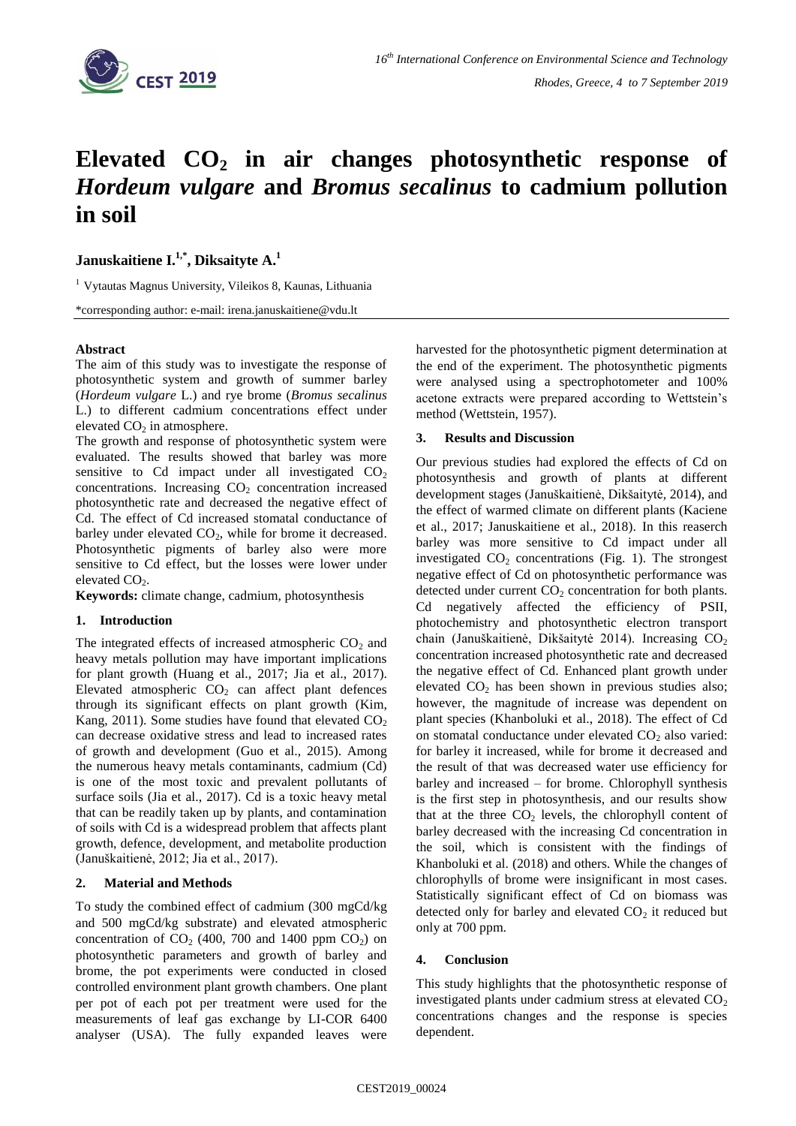

# **Elevated CO<sup>2</sup> in air changes photosynthetic response of**  *Hordeum vulgare* **and** *Bromus secalinus* **to cadmium pollution in soil**

**Januskaitiene I. 1,\* , Diksaityte A. 1**

<sup>1</sup> Vytautas Magnus University, Vileikos 8, Kaunas, Lithuania

\*corresponding author: e-mail: irena.januskaitiene@vdu.lt

### **Abstract**

The aim of this study was to investigate the response of photosynthetic system and growth of summer barley (*Hordeum vulgare* L.) and rye brome (*Bromus secalinus*  L.) to different cadmium concentrations effect under elevated  $CO<sub>2</sub>$  in atmosphere.

The growth and response of photosynthetic system were evaluated. The results showed that barley was more sensitive to Cd impact under all investigated  $CO<sub>2</sub>$ concentrations. Increasing  $CO<sub>2</sub>$  concentration increased photosynthetic rate and decreased the negative effect of Cd. The effect of Cd increased stomatal conductance of barley under elevated  $CO<sub>2</sub>$ , while for brome it decreased. Photosynthetic pigments of barley also were more sensitive to Cd effect, but the losses were lower under elevated  $CO<sub>2</sub>$ .

**Keywords:** climate change, cadmium, photosynthesis

### **1. Introduction**

The integrated effects of increased atmospheric  $CO<sub>2</sub>$  and heavy metals pollution may have important implications for plant growth (Huang et al., 2017; Jia et al., 2017). Elevated atmospheric  $CO<sub>2</sub>$  can affect plant defences through its significant effects on plant growth (Kim, Kang, 2011). Some studies have found that elevated  $CO<sub>2</sub>$ can decrease oxidative stress and lead to increased rates of growth and development (Guo et al., 2015). Among the numerous heavy metals contaminants, cadmium (Cd) is one of the most toxic and prevalent pollutants of surface soils (Jia et al., 2017). Cd is a toxic heavy metal that can be readily taken up by plants, and contamination of soils with Cd is a widespread problem that affects plant growth, defence, development, and metabolite production (Januškaitienė, 2012; Jia et al., 2017).

## **2. Material and Methods**

To study the combined effect of cadmium (300 mgCd/kg and 500 mgCd/kg substrate) and elevated atmospheric concentration of  $CO<sub>2</sub>$  (400, 700 and 1400 ppm  $CO<sub>2</sub>$ ) on photosynthetic parameters and growth of barley and brome, the pot experiments were conducted in closed controlled environment plant growth chambers. One plant per pot of each pot per treatment were used for the measurements of leaf gas exchange by LI-COR 6400 analyser (USA). The fully expanded leaves were

harvested for the photosynthetic pigment determination at the end of the experiment. The photosynthetic pigments were analysed using a spectrophotometer and 100% acetone extracts were prepared according to Wettstein's method (Wettstein, 1957).

#### **3. Results and Discussion**

Our previous studies had explored the effects of Cd on photosynthesis and growth of plants at different development stages (Januškaitienė, Dikšaitytė, 2014), and the effect of warmed climate on different plants (Kaciene et al., 2017; Januskaitiene et al., 2018). In this reaserch barley was more sensitive to Cd impact under all investigated  $CO<sub>2</sub>$  concentrations (Fig. 1). The strongest negative effect of Cd on photosynthetic performance was detected under current  $CO<sub>2</sub>$  concentration for both plants. Cd negatively affected the efficiency of PSII, photochemistry and photosynthetic electron transport chain (Januškaitienė, Dikšaitytė 2014). Increasing  $CO<sub>2</sub>$ concentration increased photosynthetic rate and decreased the negative effect of Cd. Enhanced plant growth under elevated  $CO<sub>2</sub>$  has been shown in previous studies also; however, the magnitude of increase was dependent on plant species (Khanboluki et al., 2018). The effect of Cd on stomatal conductance under elevated  $CO<sub>2</sub>$  also varied: for barley it increased, while for brome it decreased and the result of that was decreased water use efficiency for barley and increased – for brome. Chlorophyll synthesis is the first step in photosynthesis, and our results show that at the three  $CO<sub>2</sub>$  levels, the chlorophyll content of barley decreased with the increasing Cd concentration in the soil, which is consistent with the findings of Khanboluki et al. (2018) and others. While the changes of chlorophylls of brome were insignificant in most cases. Statistically significant effect of Cd on biomass was detected only for barley and elevated  $CO<sub>2</sub>$  it reduced but only at 700 ppm.

### **4. Conclusion**

This study highlights that the photosynthetic response of investigated plants under cadmium stress at elevated  $CO<sub>2</sub>$ concentrations changes and the response is species dependent.